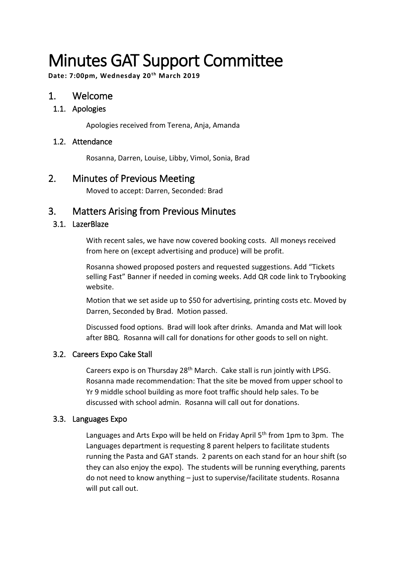# Minutes GAT Support Committee

**Date: 7:00pm, Wednesday 20th March 2019**

## 1. Welcome

## 1.1. Apologies

Apologies received from Terena, Anja, Amanda

### 1.2. Attendance

Rosanna, Darren, Louise, Libby, Vimol, Sonia, Brad

## 2. Minutes of Previous Meeting

Moved to accept: Darren, Seconded: Brad

## 3. Matters Arising from Previous Minutes

## 3.1. LazerBlaze

With recent sales, we have now covered booking costs. All moneys received from here on (except advertising and produce) will be profit.

Rosanna showed proposed posters and requested suggestions. Add "Tickets selling Fast" Banner if needed in coming weeks. Add QR code link to Trybooking website.

Motion that we set aside up to \$50 for advertising, printing costs etc. Moved by Darren, Seconded by Brad. Motion passed.

Discussed food options. Brad will look after drinks. Amanda and Mat will look after BBQ. Rosanna will call for donations for other goods to sell on night.

### 3.2. Careers Expo Cake Stall

Careers expo is on Thursday 28<sup>th</sup> March. Cake stall is run jointly with LPSG. Rosanna made recommendation: That the site be moved from upper school to Yr 9 middle school building as more foot traffic should help sales. To be discussed with school admin. Rosanna will call out for donations.

### 3.3. Languages Expo

Languages and Arts Expo will be held on Friday April 5<sup>th</sup> from 1pm to 3pm. The Languages department is requesting 8 parent helpers to facilitate students running the Pasta and GAT stands. 2 parents on each stand for an hour shift (so they can also enjoy the expo). The students will be running everything, parents do not need to know anything – just to supervise/facilitate students. Rosanna will put call out.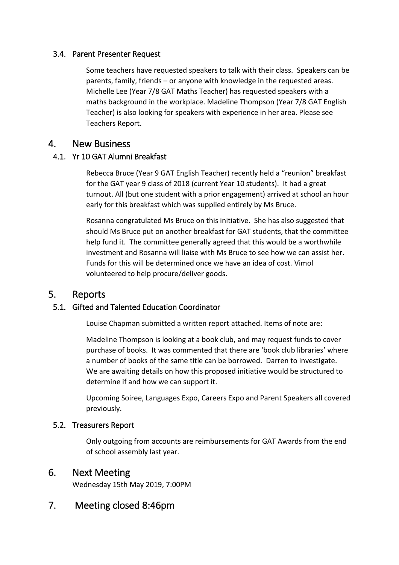### 3.4. Parent Presenter Request

Some teachers have requested speakers to talk with their class. Speakers can be parents, family, friends – or anyone with knowledge in the requested areas. Michelle Lee (Year 7/8 GAT Maths Teacher) has requested speakers with a maths background in the workplace. Madeline Thompson (Year 7/8 GAT English Teacher) is also looking for speakers with experience in her area. Please see Teachers Report.

## 4. New Business

## 4.1. Yr 10 GAT Alumni Breakfast

Rebecca Bruce (Year 9 GAT English Teacher) recently held a "reunion" breakfast for the GAT year 9 class of 2018 (current Year 10 students). It had a great turnout. All (but one student with a prior engagement) arrived at school an hour early for this breakfast which was supplied entirely by Ms Bruce.

Rosanna congratulated Ms Bruce on this initiative. She has also suggested that should Ms Bruce put on another breakfast for GAT students, that the committee help fund it. The committee generally agreed that this would be a worthwhile investment and Rosanna will liaise with Ms Bruce to see how we can assist her. Funds for this will be determined once we have an idea of cost. Vimol volunteered to help procure/deliver goods.

## 5. Reports

## 5.1. Gifted and Talented Education Coordinator

Louise Chapman submitted a written report attached. Items of note are:

Madeline Thompson is looking at a book club, and may request funds to cover purchase of books. It was commented that there are 'book club libraries' where a number of books of the same title can be borrowed. Darren to investigate. We are awaiting details on how this proposed initiative would be structured to determine if and how we can support it.

Upcoming Soiree, Languages Expo, Careers Expo and Parent Speakers all covered previously.

### 5.2. Treasurers Report

Only outgoing from accounts are reimbursements for GAT Awards from the end of school assembly last year.

## 6. Next Meeting

Wednesday 15th May 2019, 7:00PM

## 7. Meeting closed 8:46pm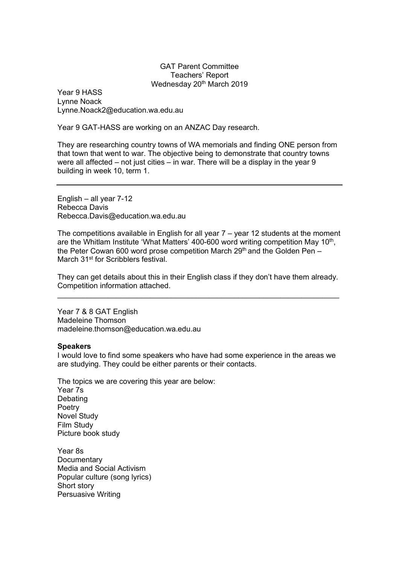#### GAT Parent Committee Teachers' Report Wednesday 20<sup>th</sup> March 2019

Year 9 HASS Lynne Noack Lynne.Noack2@education.wa.edu.au

Year 9 GAT-HASS are working on an ANZAC Day research.

They are researching country towns of WA memorials and finding ONE person from that town that went to war. The objective being to demonstrate that country towns were all affected – not just cities – in war. There will be a display in the year 9 building in week 10, term 1.

English – all year 7-12 Rebecca Davis Rebecca.Davis@education.wa.edu.au

The competitions available in English for all year  $7 -$  year 12 students at the moment are the Whitlam Institute 'What Matters' 400-600 word writing competition May 10<sup>th</sup>, the Peter Cowan 600 word prose competition March  $29<sup>th</sup>$  and the Golden Pen – March 31<sup>st</sup> for Scribblers festival.

They can get details about this in their English class if they don't have them already. Competition information attached. \_\_\_\_\_\_\_\_\_\_\_\_\_\_\_\_\_\_\_\_\_\_\_\_\_\_\_\_\_\_\_\_\_\_\_\_\_\_\_\_\_\_\_\_\_\_\_\_\_\_\_\_\_\_\_\_\_\_\_\_\_\_\_\_\_\_\_

Year 7 & 8 GAT English Madeleine Thomson madeleine.thomson@education.wa.edu.au

#### **Speakers**

I would love to find some speakers who have had some experience in the areas we are studying. They could be either parents or their contacts.

The topics we are covering this year are below: Year 7s Debating **Poetry** Novel Study Film Study Picture book study

Year 8s **Documentary** Media and Social Activism Popular culture (song lyrics) Short story Persuasive Writing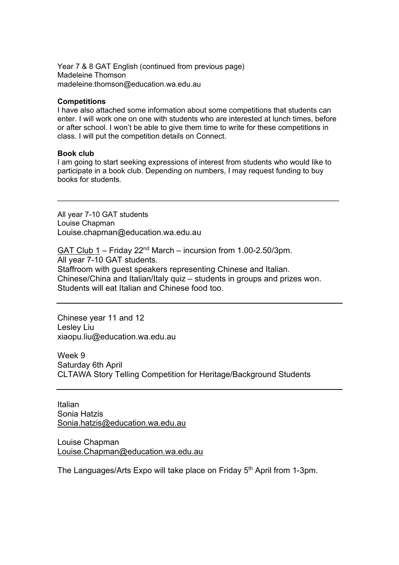Year 7 & 8 GAT English (continued from previous page) Madeleine Thomson madeleine.thomson@education.wa.edu.au

#### **Competitions**

I have also attached some information about some competitions that students can enter. I will work one on one with students who are interested at lunch times, before or after school. I won't be able to give them time to write for these competitions in class. I will put the competition details on Connect.

#### **Book club**

I am going to start seeking expressions of interest from students who would like to participate in a book club. Depending on numbers, I may request funding to buy books for students.

 $\mathcal{L}_\text{max}$  and  $\mathcal{L}_\text{max}$  and  $\mathcal{L}_\text{max}$  and  $\mathcal{L}_\text{max}$  and  $\mathcal{L}_\text{max}$  and  $\mathcal{L}_\text{max}$ 

All year 7-10 GAT students Louise Chapman Louise.chapman@education.wa.edu.au

GAT Club  $1 -$  Friday 22<sup>nd</sup> March – incursion from 1.00-2.50/3pm. All year 7-10 GAT students. Staffroom with guest speakers representing Chinese and Italian. Chinese/China and Italian/Italy quiz – students in groups and prizes won. Students will eat Italian and Chinese food too.

Chinese year 11 and 12 Lesley Liu xiaopu.liu@education.wa.edu.au

Week 9 Saturday 6th April CLTAWA Story Telling Competition for Heritage/Background Students

Italian Sonia Hatzis Sonia.hatzis@education.wa.edu.au

Louise Chapman Louise.Chapman@education.wa.edu.au

The Languages/Arts Expo will take place on Friday 5<sup>th</sup> April from 1-3pm.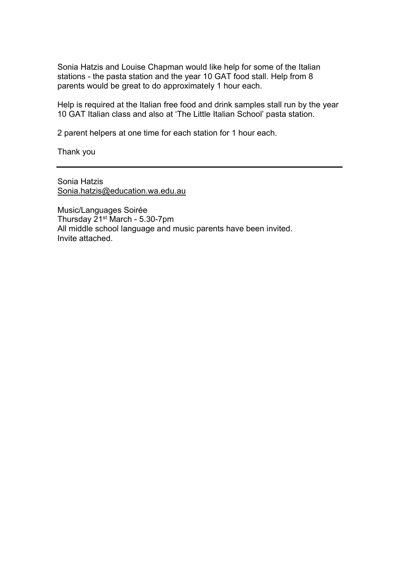Sonia Hatzis and Louise Chapman would like help for some of the Italian stations - the pasta station and the year 10 GAT food stall. Help from 8 parents would be great to do approximately 1 hour each.

Help is required at the Italian free food and drink samples stall run by the year 10 GAT Italian class and also at 'The Little Italian School' pasta station.

2 parent helpers at one time for each station for 1 hour each.

Thank you

Sonia Hatzis Sonia.hatzis@education.wa.edu.au

Music/Languages Soirée Thursday 21st March - 5.30-7pm All middle school language and music parents have been invited. Invite attached.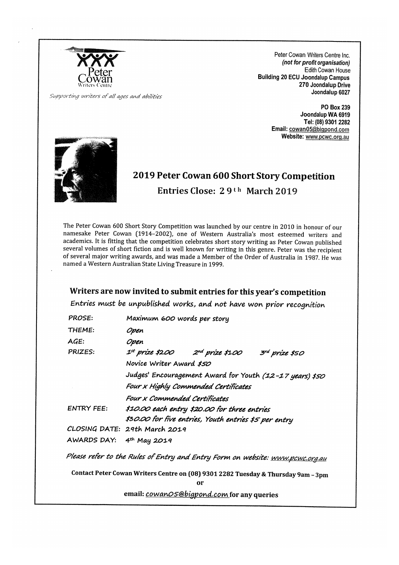

Peter Cowan Writers Centre Inc. (not for profit organisation) Edith Cowan House **Building 20 ECU Joondalup Campus** 270 Joondalup Drive Joondalup 6027

Supporting writers of all ages and abilities

PO Box 239 Joondalup WA 6919 Tel: (08) 9301 2282 Email: cowan05@bigpond.com Website: www.pcwc.org.au



## 2019 Peter Cowan 600 Short Story Competition Entries Close: 29<sup>th</sup> March 2019

The Peter Cowan 600 Short Story Competition was launched by our centre in 2010 in honour of our namesake Peter Cowan (1914-2002), one of Western Australia's most esteemed writers and academics. It is fitting that the competition celebrates short story writing as Peter Cowan published several volumes of short fiction and is well known for writing in this genre. Peter was the recipient of several major writing awards, and was made a Member of the Order of Australia in 1987. He was named a Western Australian State Living Treasure in 1999.

### Writers are now invited to submit entries for this year's competition

Entries must be unpublished works, and not have won prior recognition

| PROSE:                                                                                  | Maximum 600 words per story                              |  |
|-----------------------------------------------------------------------------------------|----------------------------------------------------------|--|
| THEME:                                                                                  | Open                                                     |  |
| AGE:                                                                                    | Open                                                     |  |
| PRIZES:                                                                                 | $1^{st}$ prize \$200 2nd prize \$100<br>3rd prize \$50   |  |
|                                                                                         | Novice Writer Award \$50                                 |  |
|                                                                                         | Judges' Encouragement Award for Youth (12-17 years) \$50 |  |
|                                                                                         | Four x Highly Commended Certificates                     |  |
|                                                                                         | Four x Commended Certificates                            |  |
| <b>ENTRY FEE:</b>                                                                       | \$10.00 each entry \$20.00 for three entries             |  |
|                                                                                         | \$30.00 for five entries, Youth entries \$5 per entry    |  |
|                                                                                         | CLOSING DATE: 29th March 2019                            |  |
| AWARDS DAY:                                                                             | $4th$ May 2019                                           |  |
| Please refer to the Rules of Entry and Entry Form on website: <u>www.pcwc.org.au</u>    |                                                          |  |
| Contact Peter Cowan Writers Centre on (08) 9301 2282 Tuesday & Thursday 9am - 3pm<br>or |                                                          |  |
| email: <i>cowanO5@bigpond.com</i> for any queries                                       |                                                          |  |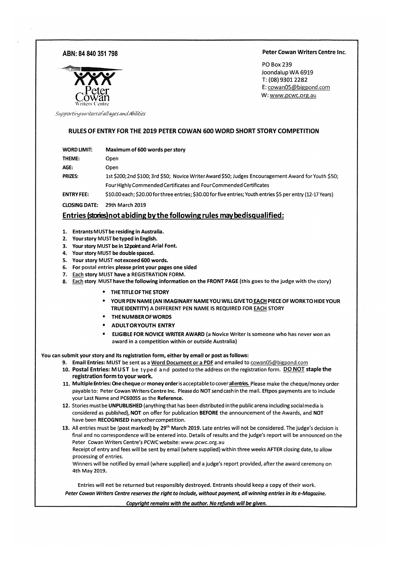#### ABN: 84 840 351 798

#### Peter Cowan Writers Centre Inc.

**PO Box 239** Joondalup WA 6919 T: (08) 9301 2282 E: cowan05@bigpond.com W: www.pcwc.org.au



Supporting writers of all ages and Abilities

#### RULES OF ENTRY FOR THE 2019 PETER COWAN 600 WORD SHORT STORY COMPETITION

| WORD LIMIT: | Maximum of 600 words per story |
|-------------|--------------------------------|
|-------------|--------------------------------|

THEME: Open

AGE: Open

**PRIZES:** 1st \$200;2nd \$100;3rd \$50; Novice Writer Award \$50; Judges Encouragement Award for Youth \$50; Four Highly Commended Certificates and Four Commended Certificates

**ENTRY FEE:** \$10.00 each; \$20.00 for three entries; \$30.00 for five entries; Youth entries \$5 per entry (12-17 Years)

**CLOSING DATE:** 29th March 2019

#### Entries (stories) not abiding by the following rules may bedisqualified:

- 1. Entrants MUST be residing in Australia.
- 2. Your story MUST be typed in English.
- 3. Your story MUST be in 12 point and Arial Font.
- 4. Your story MUST be double spaced.
- 5. Your story MUST not exceed 600 words.
- 6. For postal entries please print your pages one sided
- 7. Each story MUST have a REGISTRATION FORM.
- 8. Each story MUST have the following information on the FRONT PAGE (this goes to the judge with the story)
	- THE TITLE OF THE STORY
	- YOUR PEN NAME (AN IMAGINARY NAME YOU WILL GIVE TO EACH PIECE OF WORK TO HIDE YOUR TRUE IDENTITY) A DIFFERENT PEN NAME IS REQUIRED FOR EACH STORY
	- THE NUMBER OF WORDS
	- **ADULTORYOUTH ENTRY**
	- ELIGIBLE FOR NOVICE WRITER AWARD (a Novice Writer is someone who has never won an award in a competition within or outside Australia)

#### You can submit your story and its registration form, either by email or post as follows:

- 9. Email Entries: MUST be sent as a Word Document or a PDF and emailed to cowan05@bigpond.com
- 10. Postal Entries: MUST be typed and posted to the address on the registration form. DO NOT staple the registration form to your work.
- 11. Multiple Entries: One cheque or money order is acceptable to cover allentries. Please make the cheque/money order payable to: Peter Cowan Writers Centre Inc. Please do NOT send cash in the mail. Eftpos payments are to include your Last Name and PC600SS as the Reference.
- 12. Stories must be UNPUBLISHED (anything that has been distributed in the public arena including social media is considered as published), NOT on offer for publication BEFORE the announcement of the Awards, and NOT have been RECOGNISED nanyother competition.
- 13. All entries must be (post marked) by 29<sup>th</sup> March 2019. Late entries will not be considered. The judge's decision is final and no correspondence will be entered into. Details of results and the judge's report will be announced on the Peter Cowan Writers Centre's PCWC website: www.pcwc.org.au

Receipt of entry and fees will be sent by email (where supplied) within three weeks AFTER closing date, to allow processing of entries.

Winners will be notified by email (where supplied) and a judge's report provided, after the award ceremony on 4th May 2019.

Entries will not be returned but responsibly destroyed. Entrants should keep a copy of their work. Peter Cowan Writers Centre reserves the right to include, without payment, all winning entries in its e-Magazine.

Copyright remains with the author. No refunds will be given.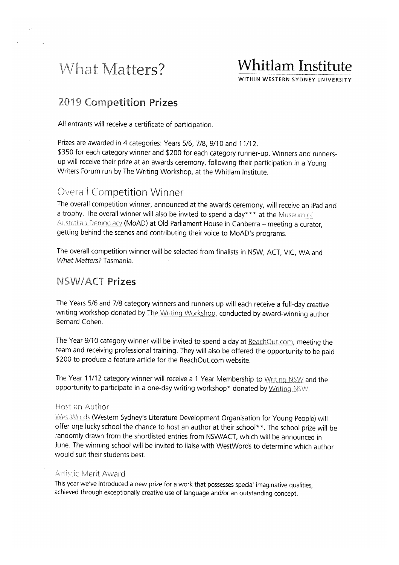# What Matters?

# **Whitlam Institute**

WITHIN WESTERN SYDNEY UNIVERSITY

## **2019 Competition Prizes**

All entrants will receive a certificate of participation.

Prizes are awarded in 4 categories: Years 5/6, 7/8, 9/10 and 11/12. \$350 for each category winner and \$200 for each category runner-up. Winners and runnersup will receive their prize at an awards ceremony, following their participation in a Young Writers Forum run by The Writing Workshop, at the Whitlam Institute.

## **Overall Competition Winner**

The overall competition winner, announced at the awards ceremony, will receive an iPad and a trophy. The overall winner will also be invited to spend a day\*\*\* at the Museum of Australian Democracy (MoAD) at Old Parliament House in Canberra - meeting a curator, getting behind the scenes and contributing their voice to MoAD's programs.

The overall competition winner will be selected from finalists in NSW, ACT, VIC, WA and What Matters? Tasmania.

## NSW/ACT Prizes

The Years 5/6 and 7/8 category winners and runners up will each receive a full-day creative writing workshop donated by The Writing Workshop, conducted by award-winning author Bernard Cohen.

The Year 9/10 category winner will be invited to spend a day at ReachOut.com, meeting the team and receiving professional training. They will also be offered the opportunity to be paid \$200 to produce a feature article for the ReachOut.com website.

The Year 11/12 category winner will receive a 1 Year Membership to Writing NSW and the opportunity to participate in a one-day writing workshop\* donated by Writing NSW.

#### Host an Author

WestWords (Western Sydney's Literature Development Organisation for Young People) will offer one lucky school the chance to host an author at their school\*\*. The school prize will be randomly drawn from the shortlisted entries from NSW/ACT, which will be announced in June. The winning school will be invited to liaise with WestWords to determine which author would suit their students best.

#### Artistic Merit Award

This year we've introduced a new prize for a work that possesses special imaginative qualities. achieved through exceptionally creative use of language and/or an outstanding concept.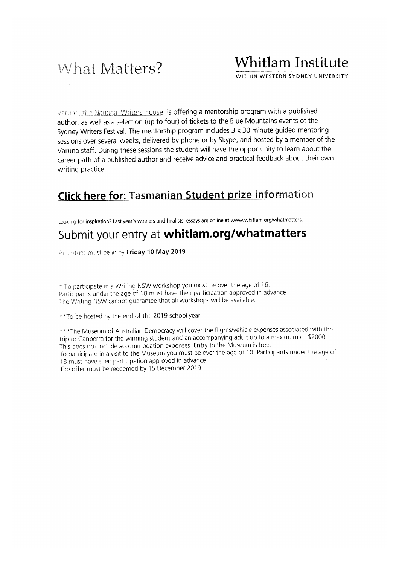# What Matters?

# **Whitlam Institute**

WITHIN WESTERN SYDNEY UNIVERSITY

Varuna, the National Writers House is offering a mentorship program with a published author, as well as a selection (up to four) of tickets to the Blue Mountains events of the Sydney Writers Festival. The mentorship program includes 3 x 30 minute guided mentoring sessions over several weeks, delivered by phone or by Skype, and hosted by a member of the Varuna staff. During these sessions the student will have the opportunity to learn about the career path of a published author and receive advice and practical feedback about their own writing practice.

## **Click here for: Tasmanian Student prize information**

Looking for inspiration? Last year's winners and finalists' essays are online at www.whitlam.org/whatmatters.

## Submit your entry at whitlam.org/whatmatters

All entries must be in by Friday 10 May 2019.

\* To participate in a Writing NSW workshop you must be over the age of 16. Participants under the age of 18 must have their participation approved in advance. The Writing NSW cannot guarantee that all workshops will be available.

\*\*To be hosted by the end of the 2019 school year.

\*\*\* The Museum of Australian Democracy will cover the flights/vehicle expenses associated with the trip to Canberra for the winning student and an accompanying adult up to a maximum of \$2000. This does not include accommodation expenses. Entry to the Museum is free. To participate in a visit to the Museum you must be over the age of 10. Participants under the age of 18 must have their participation approved in advance. The offer must be redeemed by 15 December 2019.